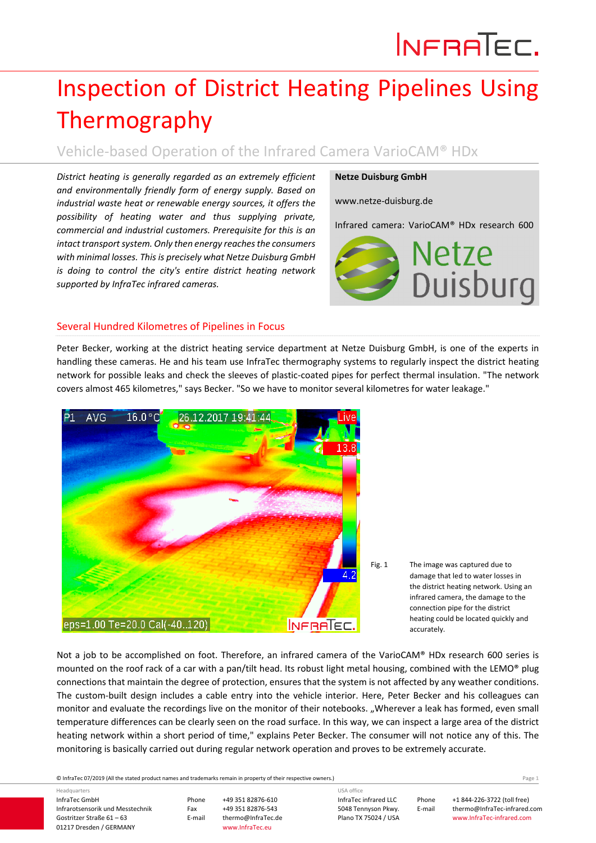# INFRATEC.

## Inspection of District Heating Pipelines Using Thermography

Vehicle‐based Operation of the Infrared Camera VarioCAM® HDx

*District heating is generally regarded as an extremely efficient and environmentally friendly form of energy supply. Based on industrial waste heat or renewable energy sources, it offers the possibility of heating water and thus supplying private, commercial and industrial customers. Prerequisite for this is an intact transportsystem. Only then energy reachesthe consumers with minimal losses. This is precisely what Netze Duisburg GmbH is doing to control the city's entire district heating network supported by InfraTec infrared cameras.*

#### **Netze Duisburg GmbH**

www.netze‐duisburg.de

Infrared camera: VarioCAM® HDx research 600



### Several Hundred Kilometres of Pipelines in Focus

Peter Becker, working at the district heating service department at Netze Duisburg GmbH, is one of the experts in handling these cameras. He and his team use InfraTec thermography systems to regularly inspect the district heating network for possible leaks and check the sleeves of plastic‐coated pipes for perfect thermal insulation. "The network covers almost 465 kilometres," says Becker. "So we have to monitor several kilometres for water leakage."



Not a job to be accomplished on foot. Therefore, an infrared camera of the VarioCAM® HDx research 600 series is mounted on the roof rack of a car with a pan/tilt head. Its robust light metal housing, combined with the LEMO® plug connections that maintain the degree of protection, ensures that the system is not affected by any weather conditions. The custom-built design includes a cable entry into the vehicle interior. Here, Peter Becker and his colleagues can monitor and evaluate the recordings live on the monitor of their notebooks. "Wherever a leak has formed, even small temperature differences can be clearly seen on the road surface. In this way, we can inspect a large area of the district heating network within a short period of time," explains Peter Becker. The consumer will not notice any of this. The monitoring is basically carried out during regular network operation and proves to be extremely accurate.

© InfraTec 07/2019 (All the stated product names and trademarks remain in property of their respective owners.) Page **1**

InfraTec GmbH Infrarotsensorik und Messtechnik Gostritzer Straße 61 – 63 01217 Dresden / GERMANY Headquarters

Phone +49 351 82876‐610 Fax +49 351 82876-543<br>E-mail thermo@InfraTec.d www.InfraTec.eu

thermo@InfraTec.de

InfraTec infrared LLC 5048 Tennyson Pkwy. Plano TX 75024 / USA USA office

Phone +1 844‐226‐3722 (toll free) E-mail thermo@InfraTec-infrared.com www.InfraTec‐infrared.com